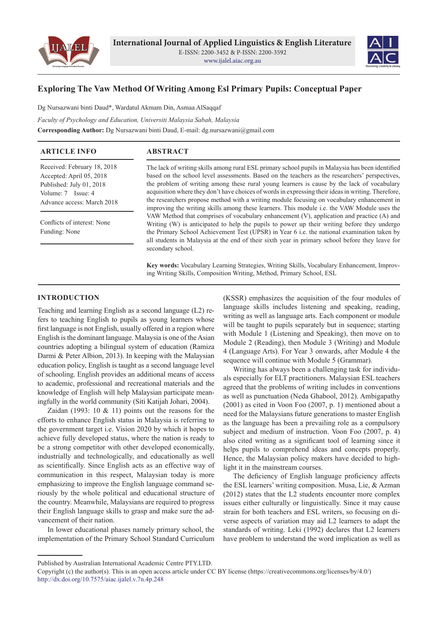



# **Exploring The Vaw Method Of Writing Among Esl Primary Pupils: Conceptual Paper**

Dg Nursazwani binti Daud\*, Wardatul Akmam Din, Asmaa AlSaqqaf

*Faculty of Psychology and Education, Universiti Malaysia Sabah, Malaysia* **Corresponding Author:** Dg Nursazwani binti Daud, E-mail: dg.nursazwani@gmail.com

| <b>ARTICLE INFO</b> | <b>ABSTRACT</b> |
|---------------------|-----------------|

Received: February 18, 2018 Accepted: April 05, 2018 Published: July 01, 2018 Volume: 7 Issue: 4 Advance access: March 2018

Conflicts of interest: None Funding: None

The lack of writing skills among rural ESL primary school pupils in Malaysia has been identified based on the school level assessments. Based on the teachers as the researchers' perspectives, the problem of writing among these rural young learners is cause by the lack of vocabulary acquisition where they don't have choices of words in expressing their ideas in writing. Therefore, the researchers propose method with a writing module focusing on vocabulary enhancement in improving the writing skills among these learners. This module i.e. the VAW Module uses the VAW Method that comprises of vocabulary enhancement (V), application and practice (A) and Writing (W) is anticipated to help the pupils to power up their writing before they undergo the Primary School Achievement Test (UPSR) in Year 6 i.e. the national examination taken by all students in Malaysia at the end of their sixth year in primary school before they leave for secondary school.

**Key words:** Vocabulary Learning Strategies, Writing Skills, Vocabulary Enhancement, Improving Writing Skills, Composition Writing, Method, Primary School, ESL

## **INTRODUCTION**

Teaching and learning English as a second language (L2) refers to teaching English to pupils as young learners whose first language is not English, usually offered in a region where English is the dominant language. Malaysia is one of the Asian countries adopting a bilingual system of education (Ramiza Darmi & Peter Albion, 2013). In keeping with the Malaysian education policy, English is taught as a second language level of schooling. English provides an additional means of access to academic, professional and recreational materials and the knowledge of English will help Malaysian participate meaningfully in the world community (Siti Katijah Johari, 2004).

Zaidan (1993: 10  $&$  11) points out the reasons for the efforts to enhance English status in Malaysia is referring to the government target i.e. Vision 2020 by which it hopes to achieve fully developed status, where the nation is ready to be a strong competitor with other developed economically, industrially and technologically, and educationally as well as scientifically. Since English acts as an effective way of communication in this respect, Malaysian today is more emphasizing to improve the English language command seriously by the whole political and educational structure of the country. Meanwhile, Malaysians are required to progress their English language skills to grasp and make sure the advancement of their nation.

In lower educational phases namely primary school, the implementation of the Primary School Standard Curriculum

(KSSR) emphasizes the acquisition of the four modules of language skills includes listening and speaking, reading, writing as well as language arts. Each component or module will be taught to pupils separately but in sequence; starting with Module 1 (Listening and Speaking), then move on to Module 2 (Reading), then Module 3 (Writing) and Module 4 (Language Arts). For Year 3 onwards, after Module 4 the sequence will continue with Module 5 (Grammar).

Writing has always been a challenging task for individuals especially for ELT practitioners. Malaysian ESL teachers agreed that the problems of writing includes in conventions as well as punctuation (Neda Ghabool, 2012). Ambigapathy (2001) as cited in Voon Foo (2007, p. 1) mentioned about a need for the Malaysians future generations to master English as the language has been a prevailing role as a compulsory subject and medium of instruction. Voon Foo (2007, p. 4) also cited writing as a significant tool of learning since it helps pupils to comprehend ideas and concepts properly. Hence, the Malaysian policy makers have decided to highlight it in the mainstream courses.

The deficiency of English language proficiency affects the ESL learners' writing composition. Musa, Lie, & Azman (2012) states that the L2 students encounter more complex issues either culturally or linguistically. Since it may cause strain for both teachers and ESL writers, so focusing on diverse aspects of variation may aid L2 learners to adapt the standards of writing. Leki (1992) declares that L2 learners have problem to understand the word implication as well as

Published by Australian International Academic Centre PTY.LTD.

Copyright (c) the author(s). This is an open access article under CC BY license (https://creativecommons.org/licenses/by/4.0/) http://dx.doi.org/10.7575/aiac.ijalel.v.7n.4p.248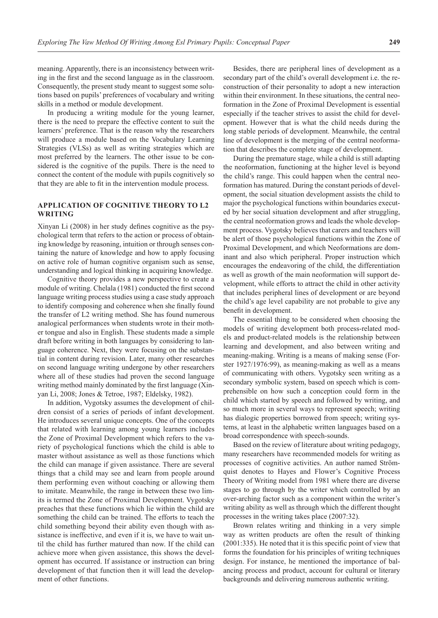meaning. Apparently, there is an inconsistency between writing in the first and the second language as in the classroom. Consequently, the present study meant to suggest some solutions based on pupils' preferences of vocabulary and writing skills in a method or module development.

In producing a writing module for the young learner, there is the need to prepare the effective content to suit the learners' preference. That is the reason why the researchers will produce a module based on the Vocabulary Learning Strategies (VLSs) as well as writing strategies which are most preferred by the learners. The other issue to be considered is the cognitive of the pupils. There is the need to connect the content of the module with pupils cognitively so that they are able to fit in the intervention module process.

## **APPLICATION OF COGNITIVE THEORY TO L2 WRITING**

Xinyan Li (2008) in her study defines cognitive as the psychological term that refers to the action or process of obtaining knowledge by reasoning, intuition or through senses containing the nature of knowledge and how to apply focusing on active role of human cognitive organism such as sense, understanding and logical thinking in acquiring knowledge.

Cognitive theory provides a new perspective to create a module of writing. Chelala (1981) conducted the first second language writing process studies using a case study approach to identify composing and coherence when she finally found the transfer of L2 writing method. She has found numerous analogical performances when students wrote in their mother tongue and also in English. These students made a simple draft before writing in both languages by considering to language coherence. Next, they were focusing on the substantial in content during revision. Later, many other researches on second language writing undergone by other researchers where all of these studies had proven the second language writing method mainly dominated by the first language (Xinyan Li, 2008; Jones & Tetroe, 1987; Eldelsky, 1982).

In addition, Vygotsky assumes the development of children consist of a series of periods of infant development. He introduces several unique concepts. One of the concepts that related with learning among young learners includes the Zone of Proximal Development which refers to the variety of psychological functions which the child is able to master without assistance as well as those functions which the child can manage if given assistance. There are several things that a child may see and learn from people around them performing even without coaching or allowing them to imitate. Meanwhile, the range in between these two limits is termed the Zone of Proximal Development. Vygotsky preaches that these functions which lie within the child are something the child can be trained. The efforts to teach the child something beyond their ability even though with assistance is ineffective, and even if it is, we have to wait until the child has further matured than now. If the child can achieve more when given assistance, this shows the development has occurred. If assistance or instruction can bring development of that function then it will lead the development of other functions.

Besides, there are peripheral lines of development as a secondary part of the child's overall development i.e. the reconstruction of their personality to adopt a new interaction within their environment. In these situations, the central neoformation in the Zone of Proximal Development is essential especially if the teacher strives to assist the child for development. However that is what the child needs during the long stable periods of development. Meanwhile, the central line of development is the merging of the central neoformation that describes the complete stage of development.

During the premature stage, while a child is still adapting the neoformation, functioning at the higher level is beyond the child's range. This could happen when the central neoformation has matured. During the constant periods of development, the social situation development assists the child to major the psychological functions within boundaries executed by her social situation development and after struggling, the central neoformation grows and leads the whole development process. Vygotsky believes that carers and teachers will be alert of those psychological functions within the Zone of Proximal Development, and which Neoformations are dominant and also which peripheral. Proper instruction which encourages the endeavoring of the child, the differentiation as well as growth of the main neoformation will support development, while efforts to attract the child in other activity that includes peripheral lines of development or are beyond the child's age level capability are not probable to give any benefit in development.

The essential thing to be considered when choosing the models of writing development both process-related models and product-related models is the relationship between learning and development, and also between writing and meaning-making. Writing is a means of making sense (Forster 1927/1976:99), as meaning-making as well as a means of communicating with others. Vygotsky seen writing as a secondary symbolic system, based on speech which is comprehensible on how such a conception could form in the child which started by speech and followed by writing, and so much more in several ways to represent speech; writing has dialogic properties borrowed from speech; writing systems, at least in the alphabetic written languages based on a broad correspondence with speech-sounds.

Based on the review of literature about writing pedagogy, many researchers have recommended models for writing as processes of cognitive activities. An author named Strömquist denotes to Hayes and Flower's Cognitive Process Theory of Writing model from 1981 where there are diverse stages to go through by the writer which controlled by an over-arching factor such as a component within the writer's writing ability as well as through which the different thought processes in the writing takes place (2007:32).

Brown relates writing and thinking in a very simple way as written products are often the result of thinking (2001:335). He noted that it is this specific point of view that forms the foundation for his principles of writing techniques design. For instance, he mentioned the importance of balancing process and product, account for cultural or literary backgrounds and delivering numerous authentic writing.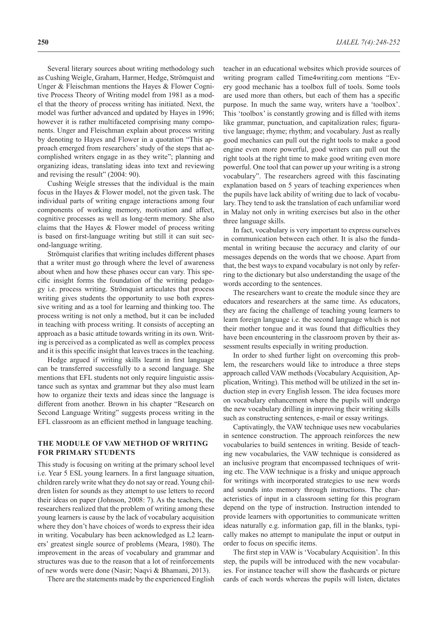Several literary sources about writing methodology such as Cushing Weigle, Graham, Harmer, Hedge, Strömquist and Unger & Fleischman mentions the Hayes & Flower Cognitive Process Theory of Writing model from 1981 as a model that the theory of process writing has initiated. Next, the model was further advanced and updated by Hayes in 1996; however it is rather multifaceted comprising many components. Unger and Fleischman explain about process writing by denoting to Hayes and Flower in a quotation "This approach emerged from researchers' study of the steps that accomplished writers engage in as they write"; planning and organizing ideas, translating ideas into text and reviewing and revising the result" (2004: 90).

Cushing Weigle stresses that the individual is the main focus in the Hayes & Flower model, not the given task. The individual parts of writing engage interactions among four components of working memory, motivation and affect, cognitive processes as well as long-term memory. She also claims that the Hayes & Flower model of process writing is based on first-language writing but still it can suit second-language writing.

Strömquist clarifies that writing includes different phases that a writer must go through where the level of awareness about when and how these phases occur can vary. This specific insight forms the foundation of the writing pedagogy i.e. process writing. Strömquist articulates that process writing gives students the opportunity to use both expressive writing and as a tool for learning and thinking too. The process writing is not only a method, but it can be included in teaching with process writing. It consists of accepting an approach as a basic attitude towards writing in its own. Writing is perceived as a complicated as well as complex process and it is this specific insight that leaves traces in the teaching.

Hedge argued if writing skills learnt in first language can be transferred successfully to a second language. She mentions that EFL students not only require linguistic assistance such as syntax and grammar but they also must learn how to organize their texts and ideas since the language is different from another. Brown in his chapter "Research on Second Language Writing" suggests process writing in the EFL classroom as an efficient method in language teaching.

## **THE MODULE OF VAW METHOD OF WRITING FOR PRIMARY STUDENTS**

This study is focusing on writing at the primary school level i.e. Year 5 ESL young learners. In a first language situation, children rarely write what they do not say or read. Young children listen for sounds as they attempt to use letters to record their ideas on paper (Johnson, 2008: 7). As the teachers, the researchers realized that the problem of writing among these young learners is cause by the lack of vocabulary acquisition where they don't have choices of words to express their idea in writing. Vocabulary has been acknowledged as L2 learners' greatest single source of problems (Meara, 1980). The improvement in the areas of vocabulary and grammar and structures was due to the reason that a lot of reinforcements of new words were done (Nasir; Naqvi & Bhamani, 2013).

There are the statements made by the experienced English

teacher in an educational websites which provide sources of writing program called Time4writing.com mentions "Every good mechanic has a toolbox full of tools. Some tools are used more than others, but each of them has a specific purpose. In much the same way, writers have a 'toolbox'. This 'toolbox' is constantly growing and is filled with items like grammar, punctuation, and capitalization rules; figurative language; rhyme; rhythm; and vocabulary. Just as really good mechanics can pull out the right tools to make a good engine even more powerful, good writers can pull out the right tools at the right time to make good writing even more powerful. One tool that can power up your writing is a strong vocabulary". The researchers agreed with this fascinating explanation based on 5 years of teaching experiences when the pupils have lack ability of writing due to lack of vocabulary. They tend to ask the translation of each unfamiliar word in Malay not only in writing exercises but also in the other three language skills.

In fact, vocabulary is very important to express ourselves in communication between each other. It is also the fundamental in writing because the accuracy and clarity of our messages depends on the words that we choose. Apart from that, the best ways to expand vocabulary is not only by referring to the dictionary but also understanding the usage of the words according to the sentences.

The researchers want to create the module since they are educators and researchers at the same time. As educators, they are facing the challenge of teaching young learners to learn foreign language i.e. the second language which is not their mother tongue and it was found that difficulties they have been encountering in the classroom proven by their assessment results especially in writing production.

In order to shed further light on overcoming this problem, the researchers would like to introduce a three steps approach called VAW methods (Vocabulary Acquisition, Application, Writing). This method will be utilized in the set induction step in every English lesson. The idea focuses more on vocabulary enhancement where the pupils will undergo the new vocabulary drilling in improving their writing skills such as constructing sentences, e-mail or essay writings.

Captivatingly, the VAW technique uses new vocabularies in sentence construction. The approach reinforces the new vocabularies to build sentences in writing. Beside of teaching new vocabularies, the VAW technique is considered as an inclusive program that encompassed techniques of writing etc. The VAW technique is a frisky and unique approach for writings with incorporated strategies to use new words and sounds into memory through instructions. The characteristics of input in a classroom setting for this program depend on the type of instruction. Instruction intended to provide learners with opportunities to communicate written ideas naturally e.g. information gap, fill in the blanks, typically makes no attempt to manipulate the input or output in order to focus on specific items.

The first step in VAW is 'Vocabulary Acquisition'. In this step, the pupils will be introduced with the new vocabularies. For instance teacher will show the flashcards or picture cards of each words whereas the pupils will listen, dictates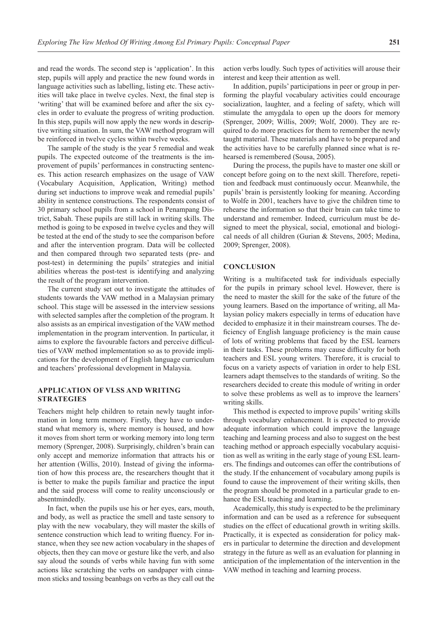and read the words. The second step is 'application'. In this step, pupils will apply and practice the new found words in language activities such as labelling, listing etc. These activities will take place in twelve cycles. Next, the final step is 'writing' that will be examined before and after the six cycles in order to evaluate the progress of writing production. In this step, pupils will now apply the new words in descriptive writing situation. In sum, the VAW method program will be reinforced in twelve cycles within twelve weeks.

The sample of the study is the year 5 remedial and weak pupils. The expected outcome of the treatments is the improvement of pupils' performances in constructing sentences. This action research emphasizes on the usage of VAW (Vocabulary Acquisition, Application, Writing) method during set inductions to improve weak and remedial pupils' ability in sentence constructions. The respondents consist of 30 primary school pupils from a school in Penampang District, Sabah. These pupils are still lack in writing skills. The method is going to be exposed in twelve cycles and they will be tested at the end of the study to see the comparison before and after the intervention program. Data will be collected and then compared through two separated tests (pre- and post-test) in determining the pupils' strategies and initial abilities whereas the post-test is identifying and analyzing the result of the program intervention.

The current study set out to investigate the attitudes of students towards the VAW method in a Malaysian primary school. This stage will be assessed in the interview sessions with selected samples after the completion of the program. It also assists as an empirical investigation of the VAW method implementation in the program intervention. In particular, it aims to explore the favourable factors and perceive difficulties of VAW method implementation so as to provide implications for the development of English language curriculum and teachers' professional development in Malaysia.

## **APPLICATION OF VLSS AND WRITING STRATEGIES**

Teachers might help children to retain newly taught information in long term memory. Firstly, they have to understand what memory is, where memory is housed, and how it moves from short term or working memory into long term memory (Sprenger, 2008). Surprisingly, children's brain can only accept and memorize information that attracts his or her attention (Willis, 2010). Instead of giving the information of how this process are, the researchers thought that it is better to make the pupils familiar and practice the input and the said process will come to reality unconsciously or absentmindedly.

In fact, when the pupils use his or her eyes, ears, mouth, and body, as well as practice the smell and taste sensory to play with the new vocabulary, they will master the skills of sentence construction which lead to writing fluency. For instance, when they see new action vocabulary in the shapes of objects, then they can move or gesture like the verb, and also say aloud the sounds of verbs while having fun with some actions like scratching the verbs on sandpaper with cinnamon sticks and tossing beanbags on verbs as they call out the

action verbs loudly. Such types of activities will arouse their interest and keep their attention as well.

In addition, pupils' participations in peer or group in performing the playful vocabulary activities could encourage socialization, laughter, and a feeling of safety, which will stimulate the amygdala to open up the doors for memory (Sprenger, 2009; Willis, 2009; Wolf, 2000). They are required to do more practices for them to remember the newly taught material. These materials and have to be prepared and the activities have to be carefully planned since what is rehearsed is remembered (Sousa, 2005).

During the process, the pupils have to master one skill or concept before going on to the next skill. Therefore, repetition and feedback must continuously occur. Meanwhile, the pupils' brain is persistently looking for meaning. According to Wolfe in 2001, teachers have to give the children time to rehearse the information so that their brain can take time to understand and remember. Indeed, curriculum must be designed to meet the physical, social, emotional and biological needs of all children (Gurian & Stevens, 2005; Medina, 2009; Sprenger, 2008).

#### **CONCLUSION**

Writing is a multifaceted task for individuals especially for the pupils in primary school level. However, there is the need to master the skill for the sake of the future of the young learners. Based on the importance of writing, all Malaysian policy makers especially in terms of education have decided to emphasize it in their mainstream courses. The deficiency of English language proficiency is the main cause of lots of writing problems that faced by the ESL learners in their tasks. These problems may cause difficulty for both teachers and ESL young writers. Therefore, it is crucial to focus on a variety aspects of variation in order to help ESL learners adapt themselves to the standards of writing. So the researchers decided to create this module of writing in order to solve these problems as well as to improve the learners' writing skills.

This method is expected to improve pupils' writing skills through vocabulary enhancement. It is expected to provide adequate information which could improve the language teaching and learning process and also to suggest on the best teaching method or approach especially vocabulary acquisition as well as writing in the early stage of young ESL learners. The findings and outcomes can offer the contributions of the study. If the enhancement of vocabulary among pupils is found to cause the improvement of their writing skills, then the program should be promoted in a particular grade to enhance the ESL teaching and learning.

Academically, this study is expected to be the preliminary information and can be used as a reference for subsequent studies on the effect of educational growth in writing skills. Practically, it is expected as consideration for policy makers in particular to determine the direction and development strategy in the future as well as an evaluation for planning in anticipation of the implementation of the intervention in the VAW method in teaching and learning process.